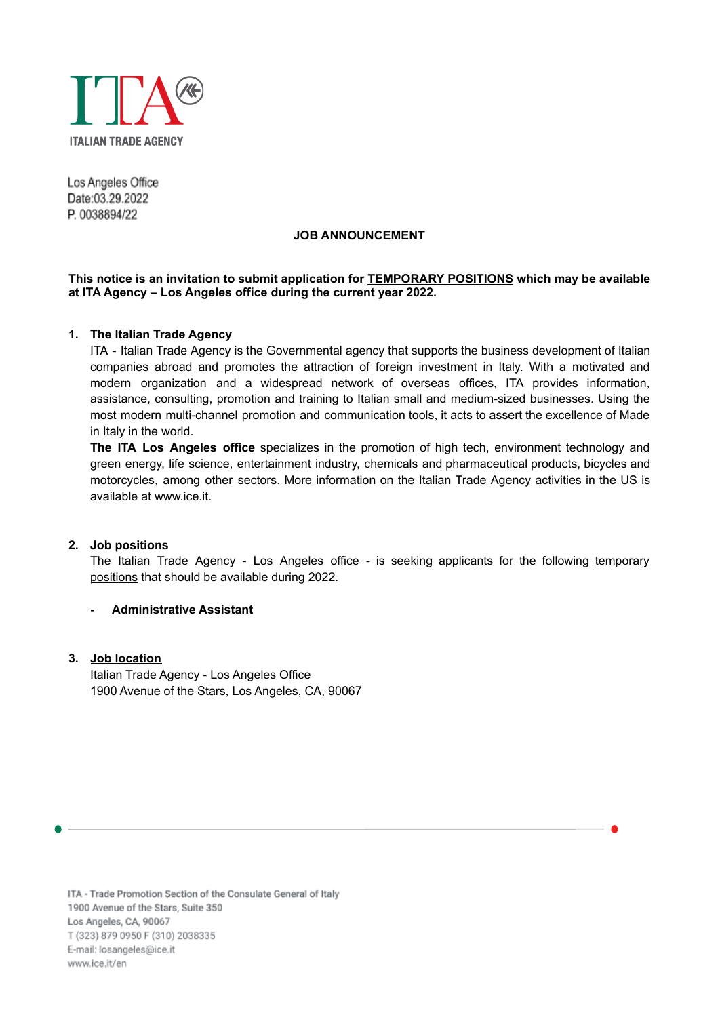

Los Angeles Office Date:03.29.2022 P. 0038894/22

### **JOB ANNOUNCEMENT**

## **This notice is an invitation to submit application for TEMPORARY POSITIONS which may be available at ITA Agency – Los Angeles office during the current year 2022.**

## **1. The Italian Trade Agency**

ITA - Italian Trade Agency is the Governmental agency that supports the business development of Italian companies abroad and promotes the attraction of foreign investment in Italy. With a motivated and modern organization and a widespread network of overseas offices, ITA provides information, assistance, consulting, promotion and training to Italian small and medium-sized businesses. Using the most modern multi-channel promotion and communication tools, it acts to assert the excellence of Made in Italy in the world.

**The ITA Los Angeles office** specializes in the promotion of high tech, environment technology and green energy, life science, entertainment industry, chemicals and pharmaceutical products, bicycles and motorcycles, among other sectors. More information on the Italian Trade Agency activities in the US is available at [www.ice.it](http://www.ice.it).

## **2. Job positions**

The Italian Trade Agency - Los Angeles office - is seeking applicants for the following temporary positions that should be available during 2022.

## **- Administrative Assistant**

# **3. Job location**

Italian Trade Agency - Los Angeles Office 1900 Avenue of the Stars, Los Angeles, CA, 90067

ITA - Trade Promotion Section of the Consulate General of Italy 1900 Avenue of the Stars, Suite 350 Los Angeles, CA, 90067 T (323) 879 0950 F (310) 2038335 E-mail: losangeles@ice.it www.ice.it/en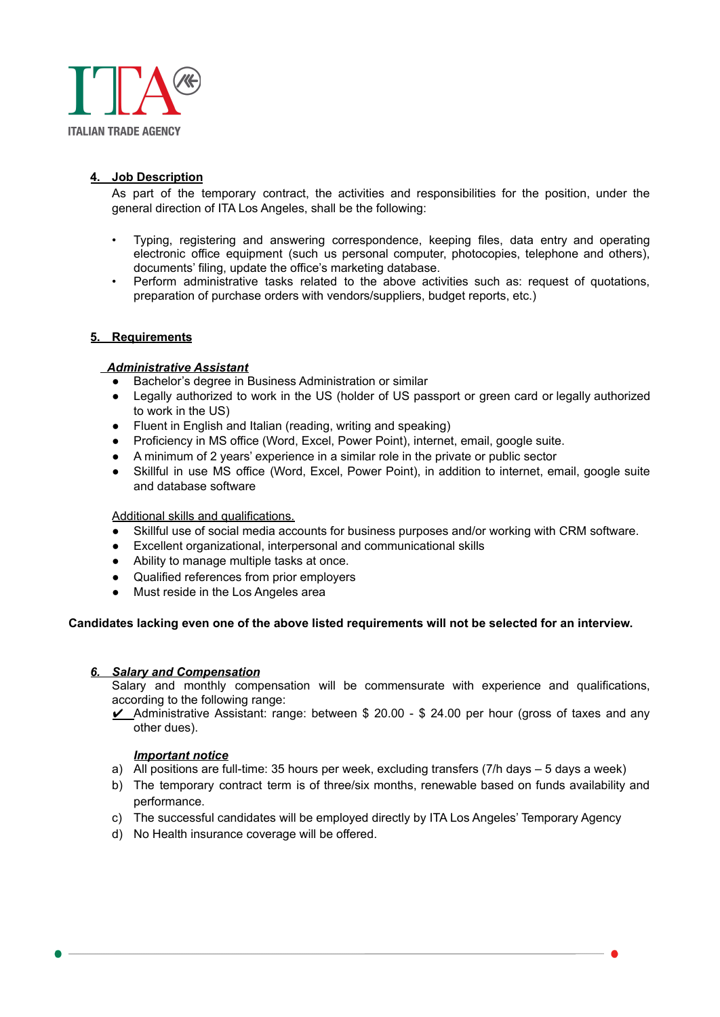

# **4. Job Description**

As part of the temporary contract, the activities and responsibilities for the position, under the general direction of ITA Los Angeles, shall be the following:

- Typing, registering and answering correspondence, keeping files, data entry and operating electronic office equipment (such us personal computer, photocopies, telephone and others), documents' filing, update the office's marketing database.
- Perform administrative tasks related to the above activities such as: request of quotations, preparation of purchase orders with vendors/suppliers, budget reports, etc.)

## **5. Requirements**

# *Administrative Assistant*

- Bachelor's degree in Business Administration or similar
- Legally authorized to work in the US (holder of US passport or green card or legally authorized to work in the US)
- Fluent in English and Italian (reading, writing and speaking)
- Proficiency in MS office (Word, Excel, Power Point), internet, email, google suite.
- A minimum of 2 years' experience in a similar role in the private or public sector
- Skillful in use MS office (Word, Excel, Power Point), in addition to internet, email, google suite and database software

#### Additional skills and qualifications.

- Skillful use of social media accounts for business purposes and/or working with CRM software.
- Excellent organizational, interpersonal and communicational skills
- Ability to manage multiple tasks at once.
- Qualified references from prior employers
- Must reside in the Los Angeles area

#### **Candidates lacking even one of the above listed requirements will not be selected for an interview.**

#### *6. Salary and Compensation*

Salary and monthly compensation will be commensurate with experience and qualifications, according to the following range:

 $\angle$  Administrative Assistant: range: between \$ 20.00 - \$ 24.00 per hour (gross of taxes and any other dues).

#### *Important notice*

- a) All positions are full-time: 35 hours per week, excluding transfers (7/h days 5 days a week)
- b) The temporary contract term is of three/six months, renewable based on funds availability and performance.
- c) The successful candidates will be employed directly by ITA Los Angeles' Temporary Agency
- d) No Health insurance coverage will be offered.